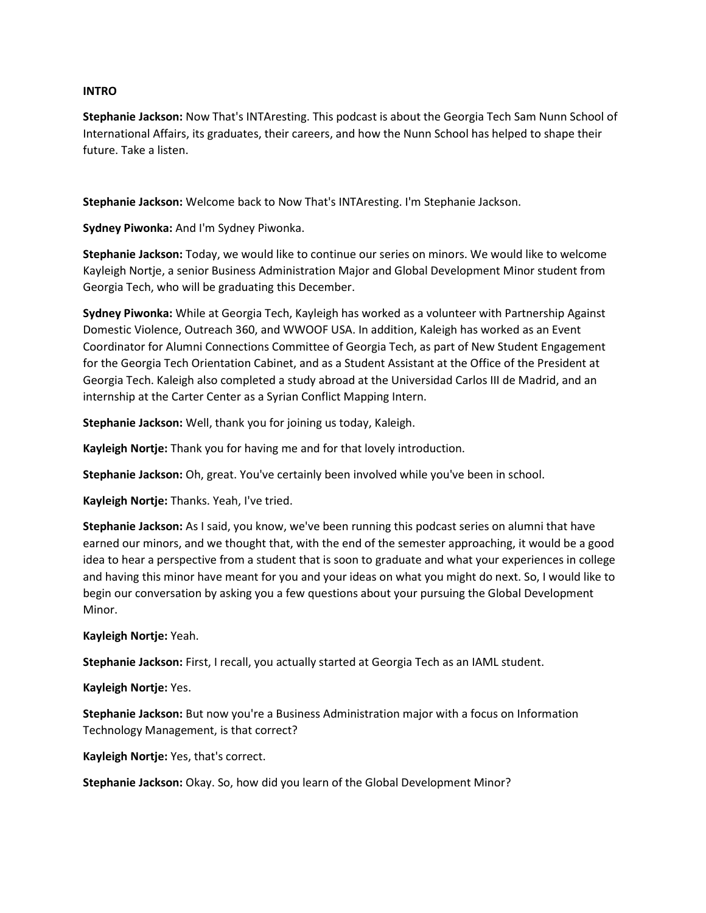#### INTRO

Stephanie Jackson: Now That's INTAresting. This podcast is about the Georgia Tech Sam Nunn School of International Affairs, its graduates, their careers, and how the Nunn School has helped to shape their future. Take a listen.

Stephanie Jackson: Welcome back to Now That's INTAresting. I'm Stephanie Jackson.

Sydney Piwonka: And I'm Sydney Piwonka.

Stephanie Jackson: Today, we would like to continue our series on minors. We would like to welcome Kayleigh Nortje, a senior Business Administration Major and Global Development Minor student from Georgia Tech, who will be graduating this December.

Sydney Piwonka: While at Georgia Tech, Kayleigh has worked as a volunteer with Partnership Against Domestic Violence, Outreach 360, and WWOOF USA. In addition, Kaleigh has worked as an Event Coordinator for Alumni Connections Committee of Georgia Tech, as part of New Student Engagement for the Georgia Tech Orientation Cabinet, and as a Student Assistant at the Office of the President at Georgia Tech. Kaleigh also completed a study abroad at the Universidad Carlos III de Madrid, and an internship at the Carter Center as a Syrian Conflict Mapping Intern.

Stephanie Jackson: Well, thank you for joining us today, Kaleigh.

Kayleigh Nortje: Thank you for having me and for that lovely introduction.

Stephanie Jackson: Oh, great. You've certainly been involved while you've been in school.

Kayleigh Nortje: Thanks. Yeah, I've tried.

Stephanie Jackson: As I said, you know, we've been running this podcast series on alumni that have earned our minors, and we thought that, with the end of the semester approaching, it would be a good idea to hear a perspective from a student that is soon to graduate and what your experiences in college and having this minor have meant for you and your ideas on what you might do next. So, I would like to begin our conversation by asking you a few questions about your pursuing the Global Development Minor.

#### Kayleigh Nortje: Yeah.

Stephanie Jackson: First, I recall, you actually started at Georgia Tech as an IAML student.

Kayleigh Nortje: Yes.

Stephanie Jackson: But now you're a Business Administration major with a focus on Information Technology Management, is that correct?

Kayleigh Nortje: Yes, that's correct.

Stephanie Jackson: Okay. So, how did you learn of the Global Development Minor?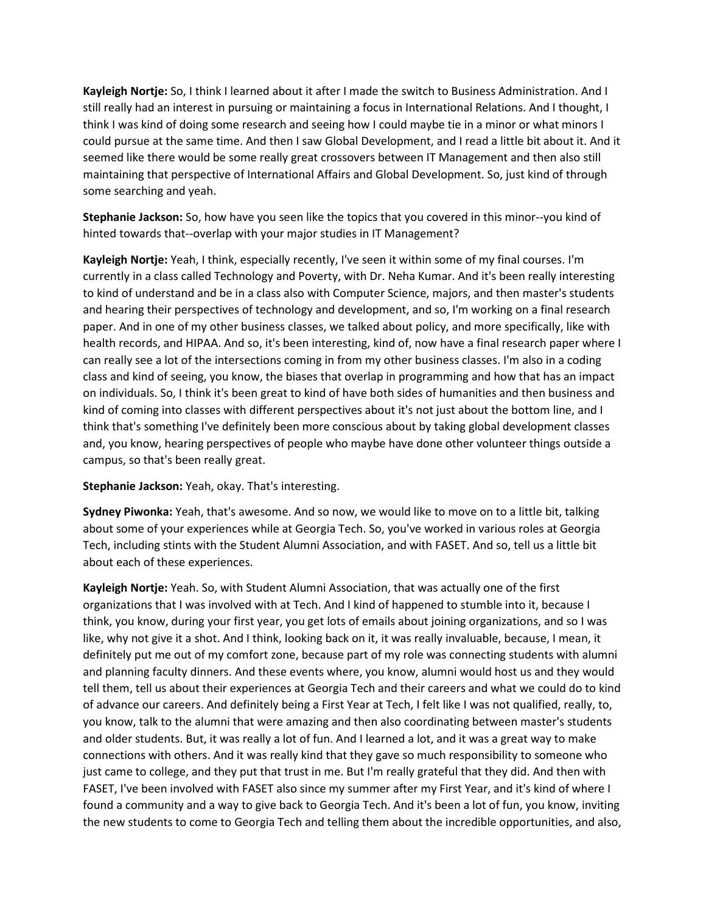Kayleigh Nortje: So, I think I learned about it after I made the switch to Business Administration. And I still really had an interest in pursuing or maintaining a focus in International Relations. And I thought, I think I was kind of doing some research and seeing how I could maybe tie in a minor or what minors I could pursue at the same time. And then I saw Global Development, and I read a little bit about it. And it seemed like there would be some really great crossovers between IT Management and then also still maintaining that perspective of International Affairs and Global Development. So, just kind of through some searching and yeah.

Stephanie Jackson: So, how have you seen like the topics that you covered in this minor--you kind of hinted towards that--overlap with your major studies in IT Management?

Kayleigh Nortje: Yeah, I think, especially recently, I've seen it within some of my final courses. I'm currently in a class called Technology and Poverty, with Dr. Neha Kumar. And it's been really interesting to kind of understand and be in a class also with Computer Science, majors, and then master's students and hearing their perspectives of technology and development, and so, I'm working on a final research paper. And in one of my other business classes, we talked about policy, and more specifically, like with health records, and HIPAA. And so, it's been interesting, kind of, now have a final research paper where I can really see a lot of the intersections coming in from my other business classes. I'm also in a coding class and kind of seeing, you know, the biases that overlap in programming and how that has an impact on individuals. So, I think it's been great to kind of have both sides of humanities and then business and kind of coming into classes with different perspectives about it's not just about the bottom line, and I think that's something I've definitely been more conscious about by taking global development classes and, you know, hearing perspectives of people who maybe have done other volunteer things outside a campus, so that's been really great.

## Stephanie Jackson: Yeah, okay. That's interesting.

Sydney Piwonka: Yeah, that's awesome. And so now, we would like to move on to a little bit, talking about some of your experiences while at Georgia Tech. So, you've worked in various roles at Georgia Tech, including stints with the Student Alumni Association, and with FASET. And so, tell us a little bit about each of these experiences.

Kayleigh Nortje: Yeah. So, with Student Alumni Association, that was actually one of the first organizations that I was involved with at Tech. And I kind of happened to stumble into it, because I think, you know, during your first year, you get lots of emails about joining organizations, and so I was like, why not give it a shot. And I think, looking back on it, it was really invaluable, because, I mean, it definitely put me out of my comfort zone, because part of my role was connecting students with alumni and planning faculty dinners. And these events where, you know, alumni would host us and they would tell them, tell us about their experiences at Georgia Tech and their careers and what we could do to kind of advance our careers. And definitely being a First Year at Tech, I felt like I was not qualified, really, to, you know, talk to the alumni that were amazing and then also coordinating between master's students and older students. But, it was really a lot of fun. And I learned a lot, and it was a great way to make connections with others. And it was really kind that they gave so much responsibility to someone who just came to college, and they put that trust in me. But I'm really grateful that they did. And then with FASET, I've been involved with FASET also since my summer after my First Year, and it's kind of where I found a community and a way to give back to Georgia Tech. And it's been a lot of fun, you know, inviting the new students to come to Georgia Tech and telling them about the incredible opportunities, and also,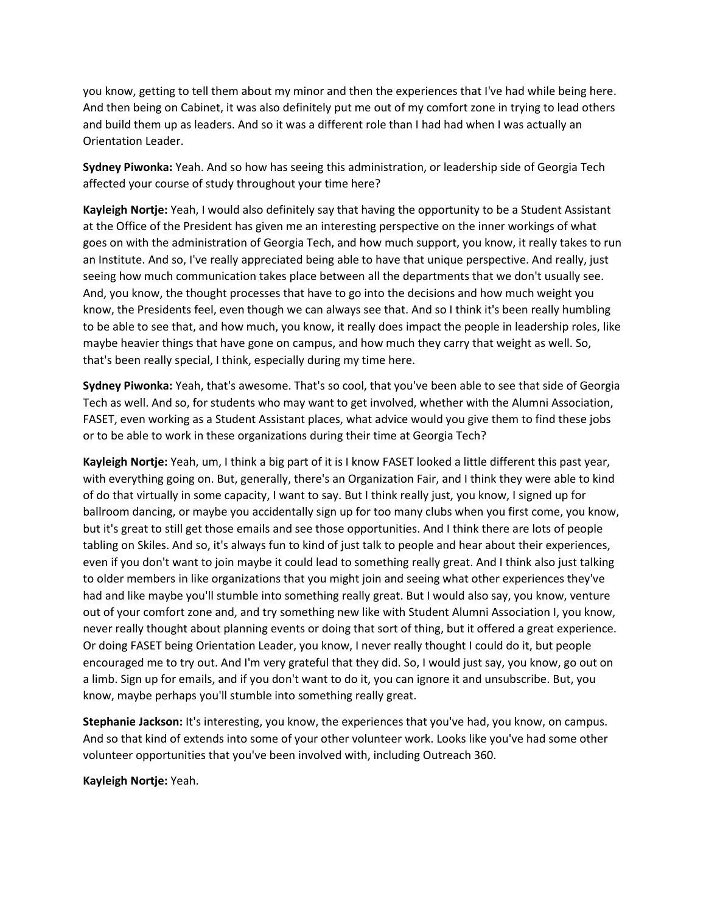you know, getting to tell them about my minor and then the experiences that I've had while being here. And then being on Cabinet, it was also definitely put me out of my comfort zone in trying to lead others and build them up as leaders. And so it was a different role than I had had when I was actually an Orientation Leader.

Sydney Piwonka: Yeah. And so how has seeing this administration, or leadership side of Georgia Tech affected your course of study throughout your time here?

Kayleigh Nortje: Yeah, I would also definitely say that having the opportunity to be a Student Assistant at the Office of the President has given me an interesting perspective on the inner workings of what goes on with the administration of Georgia Tech, and how much support, you know, it really takes to run an Institute. And so, I've really appreciated being able to have that unique perspective. And really, just seeing how much communication takes place between all the departments that we don't usually see. And, you know, the thought processes that have to go into the decisions and how much weight you know, the Presidents feel, even though we can always see that. And so I think it's been really humbling to be able to see that, and how much, you know, it really does impact the people in leadership roles, like maybe heavier things that have gone on campus, and how much they carry that weight as well. So, that's been really special, I think, especially during my time here.

Sydney Piwonka: Yeah, that's awesome. That's so cool, that you've been able to see that side of Georgia Tech as well. And so, for students who may want to get involved, whether with the Alumni Association, FASET, even working as a Student Assistant places, what advice would you give them to find these jobs or to be able to work in these organizations during their time at Georgia Tech?

Kayleigh Nortje: Yeah, um, I think a big part of it is I know FASET looked a little different this past year, with everything going on. But, generally, there's an Organization Fair, and I think they were able to kind of do that virtually in some capacity, I want to say. But I think really just, you know, I signed up for ballroom dancing, or maybe you accidentally sign up for too many clubs when you first come, you know, but it's great to still get those emails and see those opportunities. And I think there are lots of people tabling on Skiles. And so, it's always fun to kind of just talk to people and hear about their experiences, even if you don't want to join maybe it could lead to something really great. And I think also just talking to older members in like organizations that you might join and seeing what other experiences they've had and like maybe you'll stumble into something really great. But I would also say, you know, venture out of your comfort zone and, and try something new like with Student Alumni Association I, you know, never really thought about planning events or doing that sort of thing, but it offered a great experience. Or doing FASET being Orientation Leader, you know, I never really thought I could do it, but people encouraged me to try out. And I'm very grateful that they did. So, I would just say, you know, go out on a limb. Sign up for emails, and if you don't want to do it, you can ignore it and unsubscribe. But, you know, maybe perhaps you'll stumble into something really great.

Stephanie Jackson: It's interesting, you know, the experiences that you've had, you know, on campus. And so that kind of extends into some of your other volunteer work. Looks like you've had some other volunteer opportunities that you've been involved with, including Outreach 360.

Kayleigh Nortje: Yeah.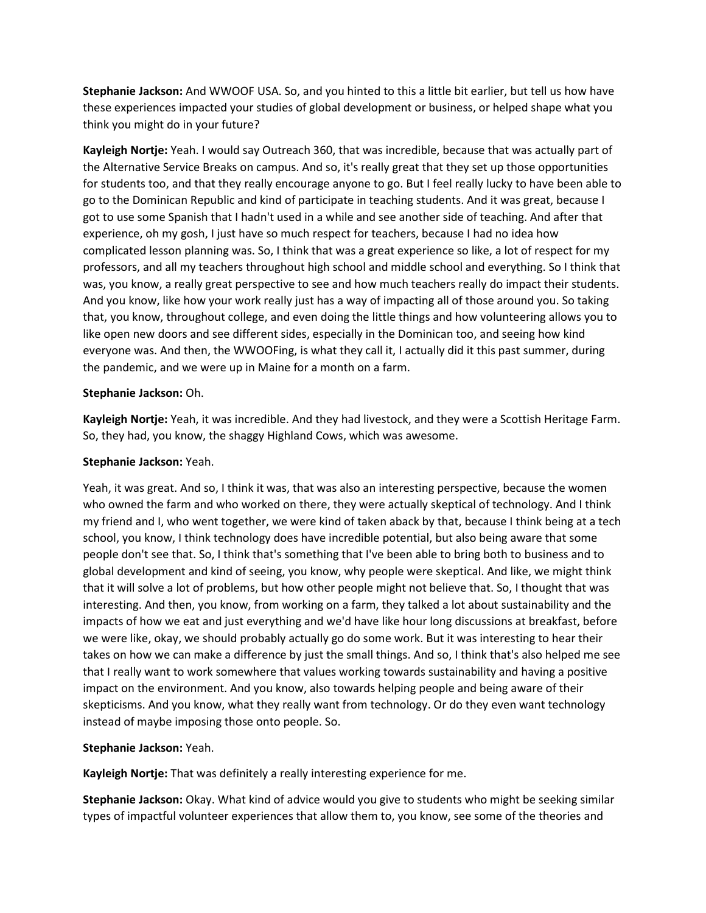Stephanie Jackson: And WWOOF USA. So, and you hinted to this a little bit earlier, but tell us how have these experiences impacted your studies of global development or business, or helped shape what you think you might do in your future?

Kayleigh Nortje: Yeah. I would say Outreach 360, that was incredible, because that was actually part of the Alternative Service Breaks on campus. And so, it's really great that they set up those opportunities for students too, and that they really encourage anyone to go. But I feel really lucky to have been able to go to the Dominican Republic and kind of participate in teaching students. And it was great, because I got to use some Spanish that I hadn't used in a while and see another side of teaching. And after that experience, oh my gosh, I just have so much respect for teachers, because I had no idea how complicated lesson planning was. So, I think that was a great experience so like, a lot of respect for my professors, and all my teachers throughout high school and middle school and everything. So I think that was, you know, a really great perspective to see and how much teachers really do impact their students. And you know, like how your work really just has a way of impacting all of those around you. So taking that, you know, throughout college, and even doing the little things and how volunteering allows you to like open new doors and see different sides, especially in the Dominican too, and seeing how kind everyone was. And then, the WWOOFing, is what they call it, I actually did it this past summer, during the pandemic, and we were up in Maine for a month on a farm.

## Stephanie Jackson: Oh.

Kayleigh Nortje: Yeah, it was incredible. And they had livestock, and they were a Scottish Heritage Farm. So, they had, you know, the shaggy Highland Cows, which was awesome.

#### Stephanie Jackson: Yeah.

Yeah, it was great. And so, I think it was, that was also an interesting perspective, because the women who owned the farm and who worked on there, they were actually skeptical of technology. And I think my friend and I, who went together, we were kind of taken aback by that, because I think being at a tech school, you know, I think technology does have incredible potential, but also being aware that some people don't see that. So, I think that's something that I've been able to bring both to business and to global development and kind of seeing, you know, why people were skeptical. And like, we might think that it will solve a lot of problems, but how other people might not believe that. So, I thought that was interesting. And then, you know, from working on a farm, they talked a lot about sustainability and the impacts of how we eat and just everything and we'd have like hour long discussions at breakfast, before we were like, okay, we should probably actually go do some work. But it was interesting to hear their takes on how we can make a difference by just the small things. And so, I think that's also helped me see that I really want to work somewhere that values working towards sustainability and having a positive impact on the environment. And you know, also towards helping people and being aware of their skepticisms. And you know, what they really want from technology. Or do they even want technology instead of maybe imposing those onto people. So.

## Stephanie Jackson: Yeah.

Kayleigh Nortje: That was definitely a really interesting experience for me.

Stephanie Jackson: Okay. What kind of advice would you give to students who might be seeking similar types of impactful volunteer experiences that allow them to, you know, see some of the theories and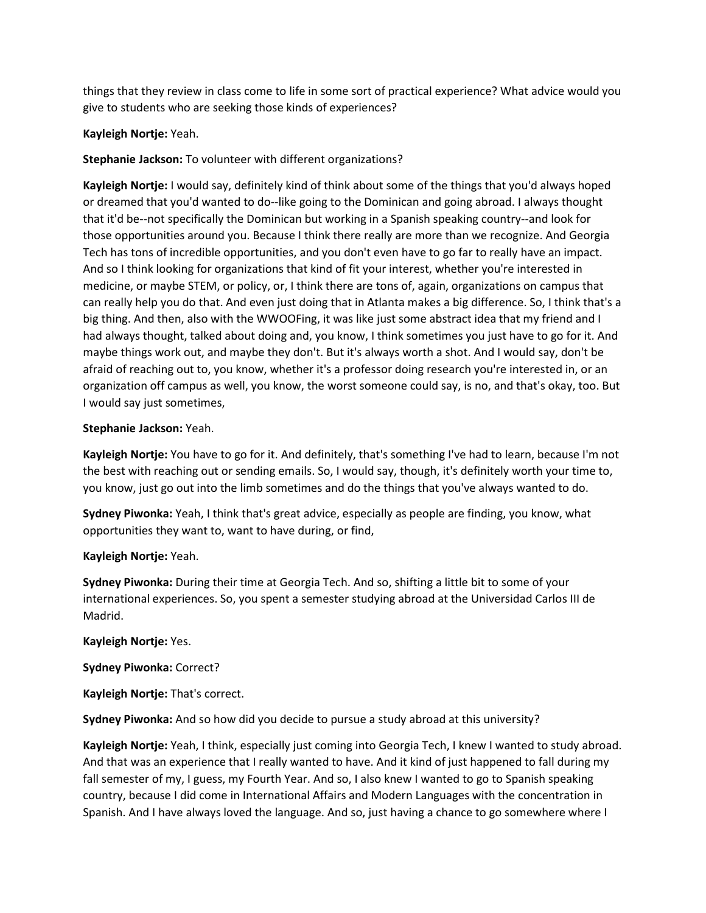things that they review in class come to life in some sort of practical experience? What advice would you give to students who are seeking those kinds of experiences?

# Kayleigh Nortje: Yeah.

# Stephanie Jackson: To volunteer with different organizations?

Kayleigh Nortje: I would say, definitely kind of think about some of the things that you'd always hoped or dreamed that you'd wanted to do--like going to the Dominican and going abroad. I always thought that it'd be--not specifically the Dominican but working in a Spanish speaking country--and look for those opportunities around you. Because I think there really are more than we recognize. And Georgia Tech has tons of incredible opportunities, and you don't even have to go far to really have an impact. And so I think looking for organizations that kind of fit your interest, whether you're interested in medicine, or maybe STEM, or policy, or, I think there are tons of, again, organizations on campus that can really help you do that. And even just doing that in Atlanta makes a big difference. So, I think that's a big thing. And then, also with the WWOOFing, it was like just some abstract idea that my friend and I had always thought, talked about doing and, you know, I think sometimes you just have to go for it. And maybe things work out, and maybe they don't. But it's always worth a shot. And I would say, don't be afraid of reaching out to, you know, whether it's a professor doing research you're interested in, or an organization off campus as well, you know, the worst someone could say, is no, and that's okay, too. But I would say just sometimes,

## Stephanie Jackson: Yeah.

Kayleigh Nortje: You have to go for it. And definitely, that's something I've had to learn, because I'm not the best with reaching out or sending emails. So, I would say, though, it's definitely worth your time to, you know, just go out into the limb sometimes and do the things that you've always wanted to do.

Sydney Piwonka: Yeah, I think that's great advice, especially as people are finding, you know, what opportunities they want to, want to have during, or find,

## Kayleigh Nortje: Yeah.

Sydney Piwonka: During their time at Georgia Tech. And so, shifting a little bit to some of your international experiences. So, you spent a semester studying abroad at the Universidad Carlos III de Madrid.

## Kayleigh Nortje: Yes.

## Sydney Piwonka: Correct?

Kayleigh Nortje: That's correct.

Sydney Piwonka: And so how did you decide to pursue a study abroad at this university?

Kayleigh Nortje: Yeah, I think, especially just coming into Georgia Tech, I knew I wanted to study abroad. And that was an experience that I really wanted to have. And it kind of just happened to fall during my fall semester of my, I guess, my Fourth Year. And so, I also knew I wanted to go to Spanish speaking country, because I did come in International Affairs and Modern Languages with the concentration in Spanish. And I have always loved the language. And so, just having a chance to go somewhere where I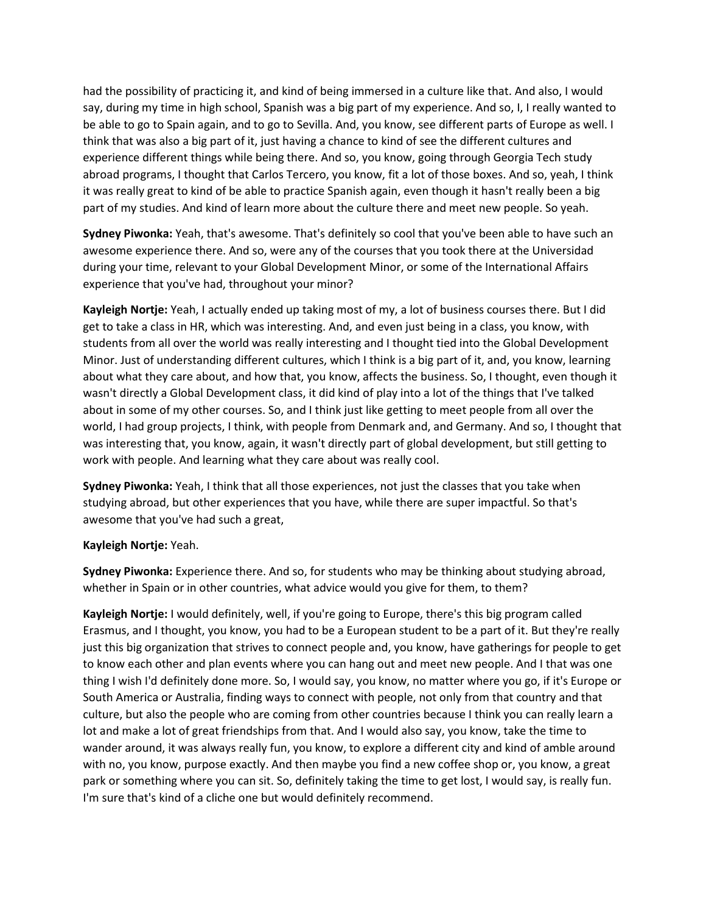had the possibility of practicing it, and kind of being immersed in a culture like that. And also, I would say, during my time in high school, Spanish was a big part of my experience. And so, I, I really wanted to be able to go to Spain again, and to go to Sevilla. And, you know, see different parts of Europe as well. I think that was also a big part of it, just having a chance to kind of see the different cultures and experience different things while being there. And so, you know, going through Georgia Tech study abroad programs, I thought that Carlos Tercero, you know, fit a lot of those boxes. And so, yeah, I think it was really great to kind of be able to practice Spanish again, even though it hasn't really been a big part of my studies. And kind of learn more about the culture there and meet new people. So yeah.

Sydney Piwonka: Yeah, that's awesome. That's definitely so cool that you've been able to have such an awesome experience there. And so, were any of the courses that you took there at the Universidad during your time, relevant to your Global Development Minor, or some of the International Affairs experience that you've had, throughout your minor?

Kayleigh Nortje: Yeah, I actually ended up taking most of my, a lot of business courses there. But I did get to take a class in HR, which was interesting. And, and even just being in a class, you know, with students from all over the world was really interesting and I thought tied into the Global Development Minor. Just of understanding different cultures, which I think is a big part of it, and, you know, learning about what they care about, and how that, you know, affects the business. So, I thought, even though it wasn't directly a Global Development class, it did kind of play into a lot of the things that I've talked about in some of my other courses. So, and I think just like getting to meet people from all over the world, I had group projects, I think, with people from Denmark and, and Germany. And so, I thought that was interesting that, you know, again, it wasn't directly part of global development, but still getting to work with people. And learning what they care about was really cool.

Sydney Piwonka: Yeah, I think that all those experiences, not just the classes that you take when studying abroad, but other experiences that you have, while there are super impactful. So that's awesome that you've had such a great,

## Kayleigh Nortje: Yeah.

Sydney Piwonka: Experience there. And so, for students who may be thinking about studying abroad, whether in Spain or in other countries, what advice would you give for them, to them?

Kayleigh Nortje: I would definitely, well, if you're going to Europe, there's this big program called Erasmus, and I thought, you know, you had to be a European student to be a part of it. But they're really just this big organization that strives to connect people and, you know, have gatherings for people to get to know each other and plan events where you can hang out and meet new people. And I that was one thing I wish I'd definitely done more. So, I would say, you know, no matter where you go, if it's Europe or South America or Australia, finding ways to connect with people, not only from that country and that culture, but also the people who are coming from other countries because I think you can really learn a lot and make a lot of great friendships from that. And I would also say, you know, take the time to wander around, it was always really fun, you know, to explore a different city and kind of amble around with no, you know, purpose exactly. And then maybe you find a new coffee shop or, you know, a great park or something where you can sit. So, definitely taking the time to get lost, I would say, is really fun. I'm sure that's kind of a cliche one but would definitely recommend.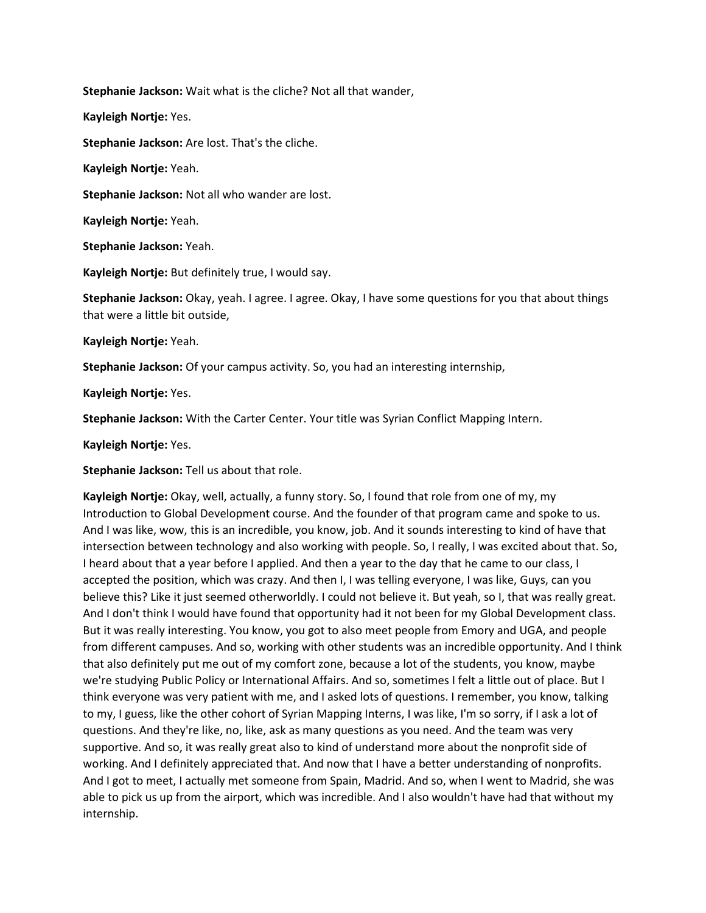Stephanie Jackson: Wait what is the cliche? Not all that wander,

Kayleigh Nortje: Yes.

Stephanie Jackson: Are lost. That's the cliche.

Kayleigh Nortje: Yeah.

Stephanie Jackson: Not all who wander are lost.

Kayleigh Nortje: Yeah.

Stephanie Jackson: Yeah.

Kayleigh Nortje: But definitely true, I would say.

Stephanie Jackson: Okay, yeah. I agree. I agree. Okay, I have some questions for you that about things that were a little bit outside,

Kayleigh Nortje: Yeah.

Stephanie Jackson: Of your campus activity. So, you had an interesting internship,

Kayleigh Nortje: Yes.

Stephanie Jackson: With the Carter Center. Your title was Syrian Conflict Mapping Intern.

Kayleigh Nortje: Yes.

Stephanie Jackson: Tell us about that role.

Kayleigh Nortje: Okay, well, actually, a funny story. So, I found that role from one of my, my Introduction to Global Development course. And the founder of that program came and spoke to us. And I was like, wow, this is an incredible, you know, job. And it sounds interesting to kind of have that intersection between technology and also working with people. So, I really, I was excited about that. So, I heard about that a year before I applied. And then a year to the day that he came to our class, I accepted the position, which was crazy. And then I, I was telling everyone, I was like, Guys, can you believe this? Like it just seemed otherworldly. I could not believe it. But yeah, so I, that was really great. And I don't think I would have found that opportunity had it not been for my Global Development class. But it was really interesting. You know, you got to also meet people from Emory and UGA, and people from different campuses. And so, working with other students was an incredible opportunity. And I think that also definitely put me out of my comfort zone, because a lot of the students, you know, maybe we're studying Public Policy or International Affairs. And so, sometimes I felt a little out of place. But I think everyone was very patient with me, and I asked lots of questions. I remember, you know, talking to my, I guess, like the other cohort of Syrian Mapping Interns, I was like, I'm so sorry, if I ask a lot of questions. And they're like, no, like, ask as many questions as you need. And the team was very supportive. And so, it was really great also to kind of understand more about the nonprofit side of working. And I definitely appreciated that. And now that I have a better understanding of nonprofits. And I got to meet, I actually met someone from Spain, Madrid. And so, when I went to Madrid, she was able to pick us up from the airport, which was incredible. And I also wouldn't have had that without my internship.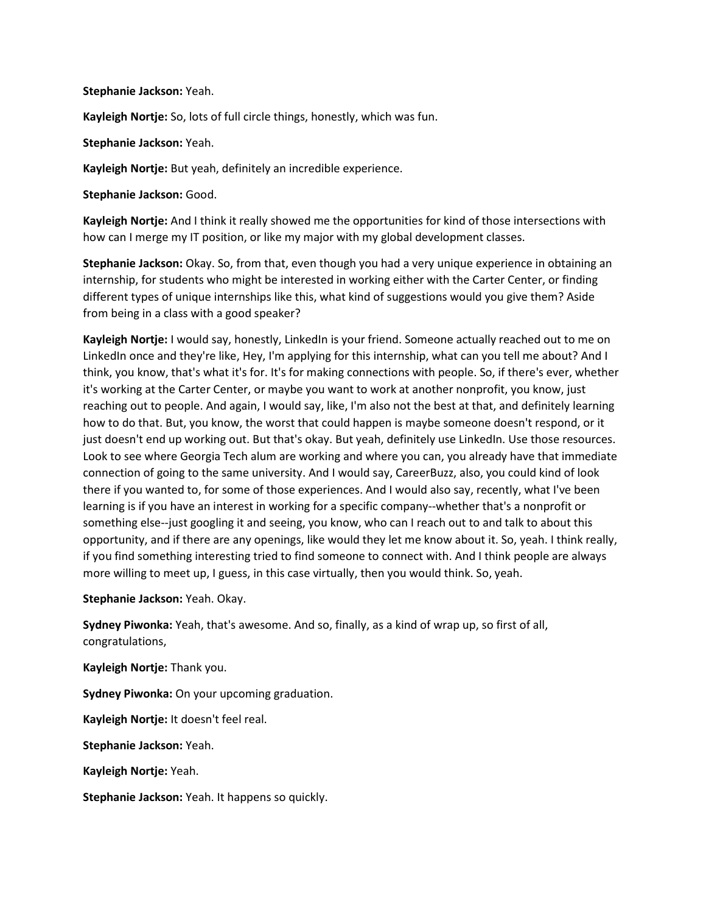#### Stephanie Jackson: Yeah.

Kayleigh Nortje: So, lots of full circle things, honestly, which was fun.

Stephanie Jackson: Yeah.

Kayleigh Nortje: But yeah, definitely an incredible experience.

Stephanie Jackson: Good.

Kayleigh Nortje: And I think it really showed me the opportunities for kind of those intersections with how can I merge my IT position, or like my major with my global development classes.

Stephanie Jackson: Okay. So, from that, even though you had a very unique experience in obtaining an internship, for students who might be interested in working either with the Carter Center, or finding different types of unique internships like this, what kind of suggestions would you give them? Aside from being in a class with a good speaker?

Kayleigh Nortje: I would say, honestly, LinkedIn is your friend. Someone actually reached out to me on LinkedIn once and they're like, Hey, I'm applying for this internship, what can you tell me about? And I think, you know, that's what it's for. It's for making connections with people. So, if there's ever, whether it's working at the Carter Center, or maybe you want to work at another nonprofit, you know, just reaching out to people. And again, I would say, like, I'm also not the best at that, and definitely learning how to do that. But, you know, the worst that could happen is maybe someone doesn't respond, or it just doesn't end up working out. But that's okay. But yeah, definitely use LinkedIn. Use those resources. Look to see where Georgia Tech alum are working and where you can, you already have that immediate connection of going to the same university. And I would say, CareerBuzz, also, you could kind of look there if you wanted to, for some of those experiences. And I would also say, recently, what I've been learning is if you have an interest in working for a specific company--whether that's a nonprofit or something else--just googling it and seeing, you know, who can I reach out to and talk to about this opportunity, and if there are any openings, like would they let me know about it. So, yeah. I think really, if you find something interesting tried to find someone to connect with. And I think people are always more willing to meet up, I guess, in this case virtually, then you would think. So, yeah.

Stephanie Jackson: Yeah. Okay.

Sydney Piwonka: Yeah, that's awesome. And so, finally, as a kind of wrap up, so first of all, congratulations,

Kayleigh Nortje: Thank you.

Sydney Piwonka: On your upcoming graduation.

Kayleigh Nortje: It doesn't feel real.

Stephanie Jackson: Yeah.

Kayleigh Nortje: Yeah.

Stephanie Jackson: Yeah. It happens so quickly.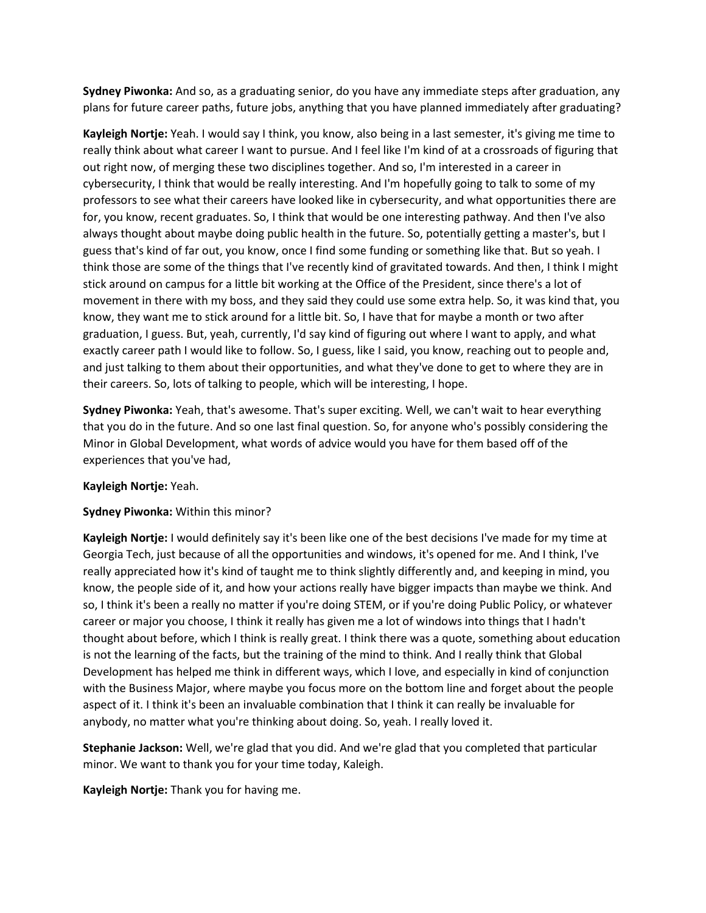Sydney Piwonka: And so, as a graduating senior, do you have any immediate steps after graduation, any plans for future career paths, future jobs, anything that you have planned immediately after graduating?

Kayleigh Nortje: Yeah. I would say I think, you know, also being in a last semester, it's giving me time to really think about what career I want to pursue. And I feel like I'm kind of at a crossroads of figuring that out right now, of merging these two disciplines together. And so, I'm interested in a career in cybersecurity, I think that would be really interesting. And I'm hopefully going to talk to some of my professors to see what their careers have looked like in cybersecurity, and what opportunities there are for, you know, recent graduates. So, I think that would be one interesting pathway. And then I've also always thought about maybe doing public health in the future. So, potentially getting a master's, but I guess that's kind of far out, you know, once I find some funding or something like that. But so yeah. I think those are some of the things that I've recently kind of gravitated towards. And then, I think I might stick around on campus for a little bit working at the Office of the President, since there's a lot of movement in there with my boss, and they said they could use some extra help. So, it was kind that, you know, they want me to stick around for a little bit. So, I have that for maybe a month or two after graduation, I guess. But, yeah, currently, I'd say kind of figuring out where I want to apply, and what exactly career path I would like to follow. So, I guess, like I said, you know, reaching out to people and, and just talking to them about their opportunities, and what they've done to get to where they are in their careers. So, lots of talking to people, which will be interesting, I hope.

Sydney Piwonka: Yeah, that's awesome. That's super exciting. Well, we can't wait to hear everything that you do in the future. And so one last final question. So, for anyone who's possibly considering the Minor in Global Development, what words of advice would you have for them based off of the experiences that you've had,

## Kayleigh Nortje: Yeah.

## Sydney Piwonka: Within this minor?

Kayleigh Nortje: I would definitely say it's been like one of the best decisions I've made for my time at Georgia Tech, just because of all the opportunities and windows, it's opened for me. And I think, I've really appreciated how it's kind of taught me to think slightly differently and, and keeping in mind, you know, the people side of it, and how your actions really have bigger impacts than maybe we think. And so, I think it's been a really no matter if you're doing STEM, or if you're doing Public Policy, or whatever career or major you choose, I think it really has given me a lot of windows into things that I hadn't thought about before, which I think is really great. I think there was a quote, something about education is not the learning of the facts, but the training of the mind to think. And I really think that Global Development has helped me think in different ways, which I love, and especially in kind of conjunction with the Business Major, where maybe you focus more on the bottom line and forget about the people aspect of it. I think it's been an invaluable combination that I think it can really be invaluable for anybody, no matter what you're thinking about doing. So, yeah. I really loved it.

Stephanie Jackson: Well, we're glad that you did. And we're glad that you completed that particular minor. We want to thank you for your time today, Kaleigh.

Kayleigh Nortje: Thank you for having me.